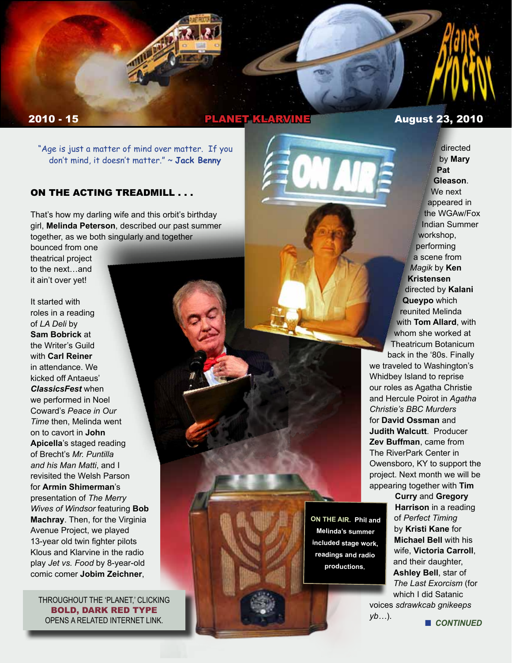

# **2010 - 15 PLANET KLARVINE August 23, 2010**

"Age is just a matter of mind over matter. If you don't mind, it doesn't matter." ~ **Jack Benny**

### ON THE ACTING TREADMILL . . .

That's how my darling wife and this orbit's birthday girl, **Melinda Peterson**, described our past summer together, as we both singularly and together

bounced from one theatrical project to the next…and it ain't over yet!

It started with roles in a reading of *LA Deli* by **Sam Bobrick** at the Writer's Guild with **Carl Reiner** in attendance. We kicked off Antaeus' *ClassicsFest* when we performed in Noel Coward's *Peace in Our Time* then, Melinda went on to cavort in **John Apicella**'s staged reading of Brecht's *Mr. Puntilla and his Man Matti*, and I revisited the Welsh Parson for **Armin Shimerman**'s presentation of *The Merry Wives of Windsor* featuring **Bob Machray**. Then, for the Virginia Avenue Project, we played 13-year old twin fighter pilots Klous and Klarvine in the radio play *Jet vs. Food* by 8-year-old comic comer **Jobim Zeichner**,

THROUGHOUT THE 'PLANET,' CLICKING BOLD, DARK RED TYPE OPENS A RELATED INTERNET LINK.



**Pat Gleason**. We next appeared in the WGAw/Fox Indian Summer workshop, performing a scene from *Magik* by **Ken Kristensen** directed by **Kalani Queypo** which reunited Melinda with **Tom Allard**, with whom she worked at Theatricum Botanicum back in the '80s. Finally

directed by **Mary** 

we traveled to Washington's Whidbey Island to reprise our roles as Agatha Christie and Hercule Poirot in *Agatha Christie's BBC Murders* for **David Ossman** and **Judith Walcutt**. Producer **Zev Buffman**, came from The RiverPark Center in Owensboro, KY to support the project. Next month we will be appearing together with **Tim** 

> **Curry** and **Gregory Harrison** in a reading of *Perfect Timing* by **Kristi Kane** for **Michael Bell** with his wife, **Victoria Carroll**, and their daughter, **Ashley Bell**, star of *The Last Exorcism* (for which I did Satanic

voices *sdrawkcab gnikeeps yb…*). **■** *CONTINUED* 

**ON THE AIR. Phil and Melinda's summer included stage work, readings and radio productions.**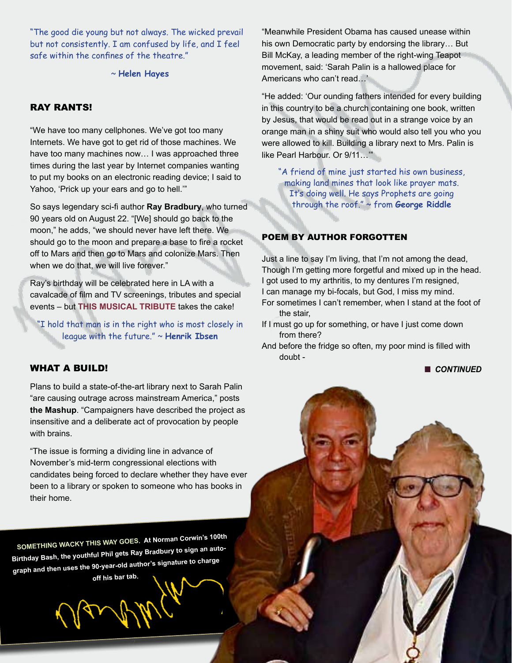"The good die young but not always. The wicked prevail but not consistently. I am confused by life, and I feel safe within the confines of the theatre."

~ **Helen Hayes**

### RAY RANTS!

"We have too many cellphones. We've got too many Internets. We have got to get rid of those machines. We have too many machines now… I was approached three times during the last year by Internet companies wanting to put my books on an electronic reading device; I said to Yahoo, 'Prick up your ears and go to hell.'"

So says legendary sci-fi author **Ray Bradbury**, who turned 90 years old on August 22. "[We] should go back to the moon," he adds, "we should never have left there. We should go to the moon and prepare a base to fire a rocket off to Mars and then go to Mars and colonize Mars. Then when we do that, we will live forever."

Ray's birthday will be celebrated here in LA with a cavalcade of film and TV screenings, tributes and special events – but **THIS MUSICAL TRIBUTE** takes the cake!

"I hold that man is in the right who is most closely in league with the future." ~ **Henrik Ibsen**

### WHAT A BUILD!

Plans to build a state-of-the-art library next to Sarah Palin "are causing outrage across mainstream America," posts **the Mashup**. "Campaigners have described the project as insensitive and a deliberate act of provocation by people with brains.

"The issue is forming a dividing line in advance of November's mid-term congressional elections with candidates being forced to declare whether they have ever been to a library or spoken to someone who has books in their home.

**SOMETHING WACKY THIS WAY GOES. At Norman Corwin's 100th Birthday Bash, the youthful Phil gets Ray Bradbury to sign an autograph and then uses the 90-year-old author's signature to charge off his bar tab.**

"Meanwhile President Obama has caused unease within his own Democratic party by endorsing the library… But Bill McKay, a leading member of the right-wing Teapot movement, said: 'Sarah Palin is a hallowed place for Americans who can't read…'

"He added: 'Our ounding fathers intended for every building in this country to be a church containing one book, written by Jesus, that would be read out in a strange voice by an orange man in a shiny suit who would also tell you who you were allowed to kill. Building a library next to Mrs. Palin is like Pearl Harbour. Or 9/11…'"

"A friend of mine just started his own business, making land mines that look like prayer mats. It's doing well. He says Prophets are going through the roof." ~ from **George Riddle**

### POEM BY AUTHOR FORGOTTEN

Just a line to say I'm living, that I'm not among the dead, Though I'm getting more forgetful and mixed up in the head. I got used to my arthritis, to my dentures I'm resigned, I can manage my bi-focals, but God, I miss my mind.

For sometimes I can't remember, when I stand at the foot of the stair,

- If I must go up for something, or have I just come down from there?
- And before the fridge so often, my poor mind is filled with doubt -

**n** CONTINUED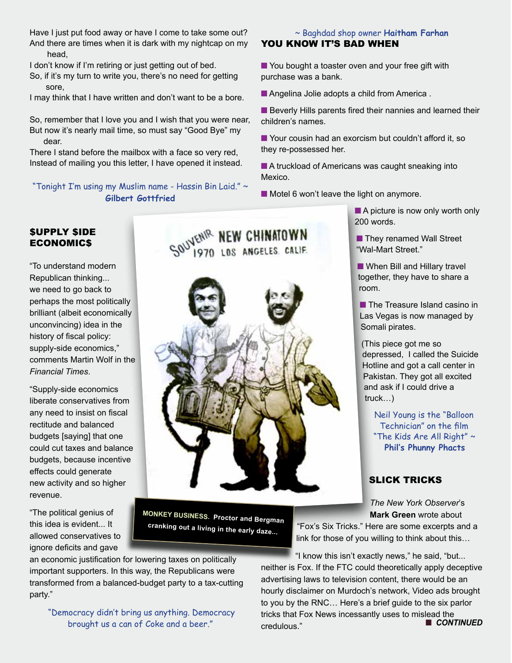Have I just put food away or have I come to take some out? And there are times when it is dark with my nightcap on my head,

I don't know if I'm retiring or just getting out of bed.

So, if it's my turn to write you, there's no need for getting sore,

I may think that I have written and don't want to be a bore.

So, remember that I love you and I wish that you were near, But now it's nearly mail time, so must say "Good Bye" my dear.

There I stand before the mailbox with a face so very red, Instead of mailing you this letter, I have opened it instead.

"Tonight I'm using my Muslim name - Hassin Bin Laid." ~ **Gilbert Gottfried**

## ~ Baghdad shop owner **Haitham Farhan** YOU KNOW IT'S BAD WHEN

 $\blacksquare$  You bought a toaster oven and your free gift with purchase was a bank.

■ Angelina Jolie adopts a child from America.

**E** Beverly Hills parents fired their nannies and learned their children's names.

■ Your cousin had an exorcism but couldn't afford it, so they re-possessed her.

 $\blacksquare$  A truckload of Americans was caught sneaking into Mexico.

 $\blacksquare$  Motel 6 won't leave the light on anymore.

### \$UPPLY \$IDE ECONOMIC\$

"To understand modern Republican thinking... we need to go back to perhaps the most politically brilliant (albeit economically unconvincing) idea in the history of fiscal policy: supply-side economics," comments Martin Wolf in the *Financial Times*.

"Supply-side economics liberate conservatives from any need to insist on fiscal rectitude and balanced budgets [saying] that one could cut taxes and balance budgets, because incentive effects could generate new activity and so higher revenue.

"The political genius of this idea is evident... It allowed conservatives to ignore deficits and gave



**MONKEY BUSINESS. Proctor and Bergman cranking out a living in the early daze...**

an economic justification for lowering taxes on politically important supporters. In this way, the Republicans were transformed from a balanced-budget party to a tax-cutting party."

 "Democracy didn't bring us anything. Democracy brought us a can of Coke and a beer."

 $\blacksquare$  A picture is now only worth only

200 words.

■ They renamed Wall Street "Wal-Mart Street."

 $\blacksquare$  When Bill and Hillary travel together, they have to share a room.

**n** The Treasure Island casino in Las Vegas is now managed by Somali pirates.

(This piece got me so depressed, I called the Suicide Hotline and got a call center in Pakistan. They got all excited and ask if I could drive a truck…)

Neil Young is the "Balloon Technician" on the film "The Kids Are All Right" ~ **Phil's Phunny Phacts**

## SLICK TRICKS

*The New York Observer*'s **Mark Green** wrote about

"Fox's Six Tricks." Here are some excerpts and a link for those of you willing to think about this…

"I know this isn't exactly news," he said, "but... neither is Fox. If the FTC could theoretically apply deceptive advertising laws to television content, there would be an hourly disclaimer on Murdoch's network, Video ads brought to you by the RNC… Here's a brief guide to the six parlor tricks that Fox News incessantly uses to mislead the credulous." <sup>n</sup> *CONTINUED*

# LOS ANGELES, CALIF.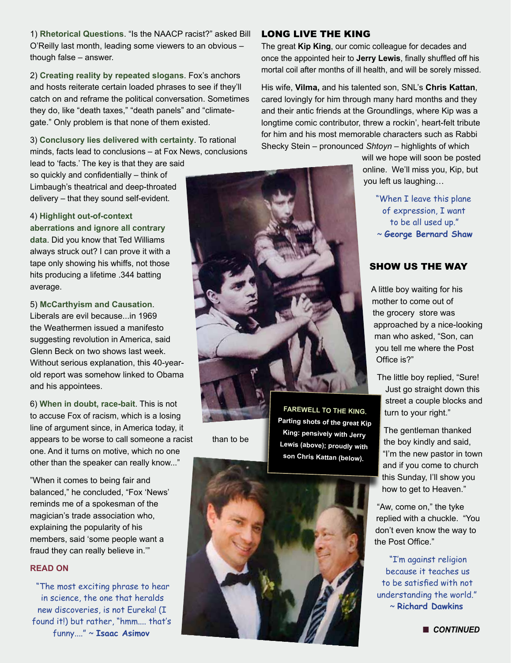1) **Rhetorical Questions**. "Is the NAACP racist?" asked Bill O'Reilly last month, leading some viewers to an obvious – though false – answer.

2) **Creating reality by repeated slogans**. Fox's anchors and hosts reiterate certain loaded phrases to see if they'll catch on and reframe the political conversation. Sometimes they do, like "death taxes," "death panels" and "climategate." Only problem is that none of them existed.

3) **Conclusory lies delivered with certainty**. To rational minds, facts lead to conclusions – at Fox News, conclusions

lead to 'facts.' The key is that they are said so quickly and confidentially – think of Limbaugh's theatrical and deep-throated delivery – that they sound self-evident.

4) **Highlight out-of-context aberrations and ignore all contrary data**. Did you know that Ted Williams always struck out? I can prove it with a tape only showing his whiffs, not those hits producing a lifetime .344 batting average.

5) **McCarthyism and Causation**. Liberals are evil because...in 1969 the Weathermen issued a manifesto suggesting revolution in America, said Glenn Beck on two shows last week. Without serious explanation, this 40-yearold report was somehow linked to Obama and his appointees.

6) **When in doubt, race-bait**. This is not to accuse Fox of racism, which is a losing line of argument since, in America today, it appears to be worse to call someone a racist than to be one. And it turns on motive, which no one other than the speaker can really know..."

"When it comes to being fair and balanced," he concluded, "Fox 'News' reminds me of a spokesman of the magician's trade association who, explaining the popularity of his members, said 'some people want a fraud they can really believe in.'"

#### **READ ON**

"The most exciting phrase to hear in science, the one that heralds new discoveries, is not Eureka! (I found it!) but rather, "hmm.... that's funny...." ~ **Isaac Asimov**

### LONG LIVE THE KING

The great **Kip King**, our comic colleague for decades and once the appointed heir to **Jerry Lewis**, finally shuffled off his mortal coil after months of ill health, and will be sorely missed.

His wife, **Vilma,** and his talented son, SNL's **Chris Kattan**, cared lovingly for him through many hard months and they and their antic friends at the Groundlings, where Kip was a longtime comic contributor, threw a rockin', heart-felt tribute for him and his most memorable characters such as Rabbi Shecky Stein – pronounced *Shtoyn* – highlights of which

> will we hope will soon be posted online. We'll miss you, Kip, but you left us laughing…

> > "When I leave this plane of expression, I want to be all used up." ~ **George Bernard Shaw**

### SHOW US THE WAY

A little boy waiting for his mother to come out of the grocery store was approached by a nice-looking man who asked, "Son, can you tell me where the Post Office is?"

The little boy replied, "Sure! Just go straight down this street a couple blocks and turn to your right."

The gentleman thanked the boy kindly and said, "I'm the new pastor in town and if you come to church this Sunday, I'll show you how to get to Heaven."

"Aw, come on," the tyke replied with a chuckle. "You don't even know the way to the Post Office."

"I'm against religion because it teaches us to be satisfied with not understanding the world." ~ **Richard Dawkins**



**Parting shots of the great Kip King: pensively with Jerry Lewis (above); proudly with son Chris Kattan (below).**